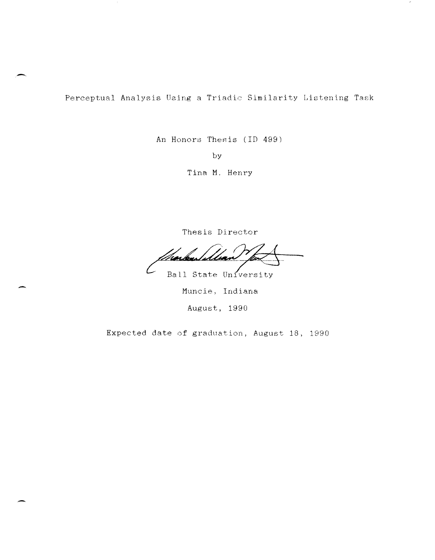Perceptual Analysis Using a Triadic Similarity Listening Task

**-.** 

An Honors Thesis (ID 499)

by

Tina M. Henry

Thesis Director

Ball State University

Muncie, Indiana August, 1990

Expected date of graduation, August 18, 1990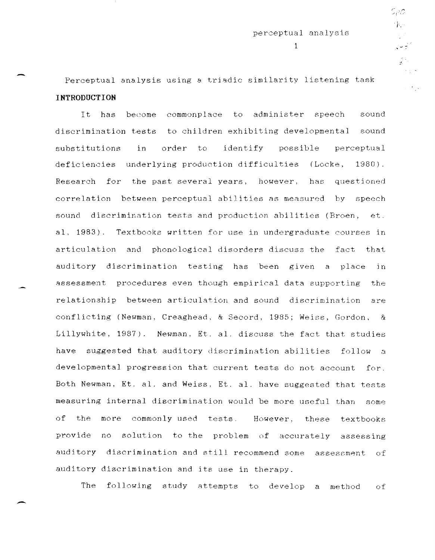, j,.

 $\frac{1}{2} \frac{1}{2}$ 

 $1$  . The set of the set of the set of the set of the set of the set of the set of the set of the set of the set of the set of the set of the set of the set of the set of the set of the set of the set of the set of the se

Perceptual analysis using a triadic similarity listening task **INTRODUCTION** 

It has become commonplace to administer speech sound discrimination tests to children exhibiting developmental sound substitutions in order to identify possible perceptual deficiencies underlying production difficulties (Locke, 1980) . Research for the past several years, however, has questioned correlation between perceptual abilities ag measured by speech sound discrimination tests and production abilities (Broen, et. al. 1983). Textbooks written for use in undergraduate courses in articulation and phonological disorders discuss the fact that auditory discrimination testing has been given a place in assessment procedures even though empirical data supporting the relationship between articulation and sound discrimination are conflicting (Newman, Creaghead, & Secord, 1985; Weiss, Gordon. & Lillywhite, 1987). Newman, Et. al. discuss the fact that studies have suggested that auditory discrimination abilities follow a developmental progression that current tests do not account for. Both Newman, Et. al. and Weiss, Et. al. have suggested that tests measuring internal discrimination would be more useful than some of the more commonly used tests. HOwever, these textbooks provide no solution to the problem of accurately assessing auditory discrimination and still recommend some assessment of auditory discrimination and its use in therapy.

The following study attempts to develop a method of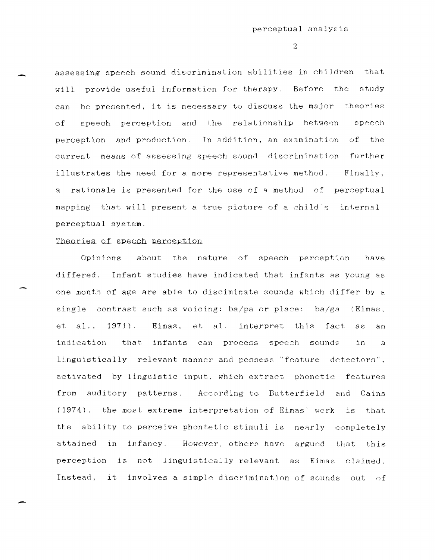assessing speech sound discrimination abilities in children that will provide useful information for therapy. Before the study can he presented, it is necessary to discuss the major theories of speech perception and the relationship between speech perception and production. In addition. an examination of the current means of assessing speech sound discrimination further illustrates the need for a more representative method. Finally, a rationale is presented for the use of a method of perceptual mapping that will present a true picture of a child's internal perceptual system.

# Theories of speech perception

-

Opinions about the nature of speech perception have differed. Infant studies have indicated that infants as young as one month of age are able to disciminate sounds which differ by a single contrast such as voicing: ba/pa or place:  $ba/ga$  (Eimas, et al., 1971). Eimas, et al. interpret this fact as an indication that infants can process speech sounds in - a linguistically relevant manner and possess "feature detectors", activated by linguistic input, which extract phonetic features from auditory patterns. According to Butterfield and Cains  $(1974)$ , the most extreme interpretation of Eimas' work is that the ability to perceive phontetic stimuli is nearly completely attained in infancy. However, others have argued that this perception is not linguistically relevant as Eimas claimed. Instead, it involves a simple discrimination of sounds out of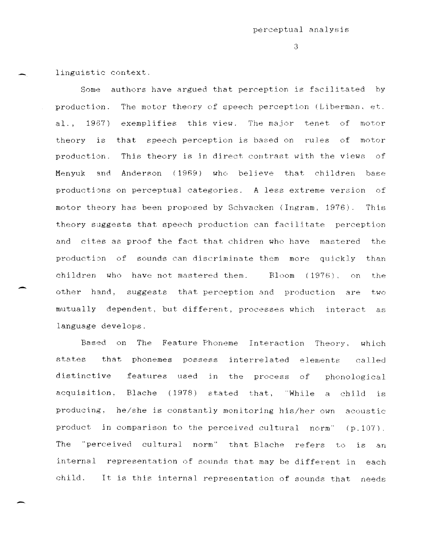$\mathcal{S}$ 

linguistic context.

Some authors have argued that perception is facilitated by production. The motor theory of speech perception (Liberman. at. al. , 1967) exemplifies this view. The major tenet of motor theory is that speech perception is based on rules of motor production. This theory is in direct contrast with the views of Menyuk and AnderRon (1969) who believe that children base productions on perceptual categories. A less extreme version of motor theory has been proposed by Schvacken (Ingram, 1976). This theory suggests that speech production can facilitate perception and cttas as proof the fact that chidren who have mastered the production of sounds can discriminate them more quickly than children who have not mastered them. Bloom (1976), on the other hand, suggests that perception and production are two mutually dependent, but different, processes which interact as language develops.

Based on The Feature Phoneme Interaction Theory, which states that phonemes possess interrelated elements called distinctive features used in the process of phonological acquisition, Blache (1978) stated that, "While a child is producing, he/she is constantly monitoring his/her own acoustic product in comparison to the perceived cultural norm"  $(p.107)$ . The "perceived cultural norm" that Blache refers to is an internal representation of sounds that may be different in each child. It is this internal representation of sounds that needs

-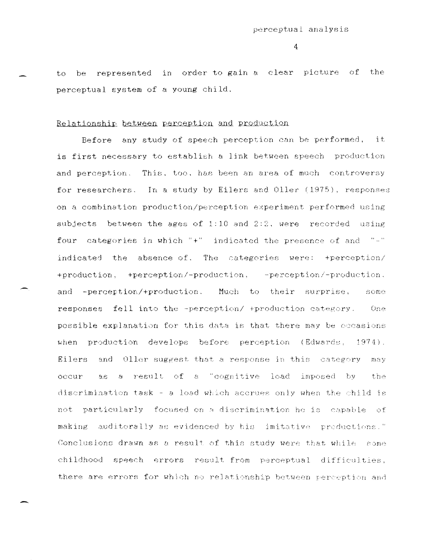$\overline{4}$ 

to be represented in order to gain a clear picture of the perceptual system of a young child.

# Relationship between perception and production

Before any study of speech perception can be performed, it is first necessary to establish a link between speech production and perception. This, too, has been an area of much controversy for researchers. In a study by Eilers and Oller (1975), responses on a combination production/perception experiment performed using subjects between the ages of 1:10 and 2:2, were recorded using four categories in which "+" indicated the presence of and "-" indicated the absence of. The categories were: +perception/ +production, +perception/-production, -perception/-production, and -perception/+production. Much to their surprise, some responses fell into the -perception/ +production category.  $One$ possible explanation for this data is that there may be occasions when production develops before perception (Edwards, 1974). Eilers and Oller suggest that a response in this category may occur as a result of a "cognitive load imposed by the discrimination task - a load which accrues only when the child is not particularly focused on a discrimination he is capable of making auditorally as evidenced by his imitative productions." Conclusions drawn as a result of this study were that while some childhood speech errors result from perceptual difficulties, there are errors for which no relationship between perception and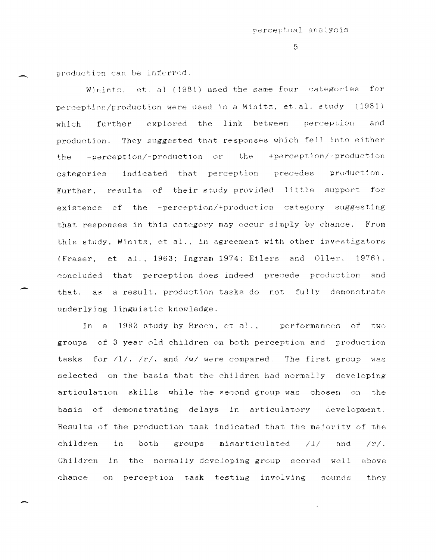$F_{1}$ 

production can be inferred.

Winintz, et. al (1981) used the same four categories for perception/production were used in a Winitz, et.al. study (1981) explored the link between perception and which further production. They suggested that responses which fell into either the -perception/-production or the +perception/+production categories indicated that perception precedes production. Further, results of their study provided little support for existence of the -perception/+production category suggesting that responses in this category may occur simply by chance. From this study, Winitz, et al., in agreement with other investigators (Fraser, et al., 1963; Ingram 1974; Eilers and Oller, 1976), concluded that perception does indeed precede production and that, as a result, production tasks do not fully demonstrate underlying linguistic knowledge.

In a 1983 study by Broen, et al., performances of two groups of 3 year old children on both perception and production tasks for  $/1/$ ,  $/r/$ , and  $/w/$  were compared. The first group was selected on the basis that the children had normally developing articulation skills while the second group was chosen on the basis of demonstrating delays in articulatory development. Results of the production task indicated that the majority of the children in both groups misarticulated  $/1/$ and  $/r/$ . Children in the normally developing group scored well above chance on perception task testing involving sounds they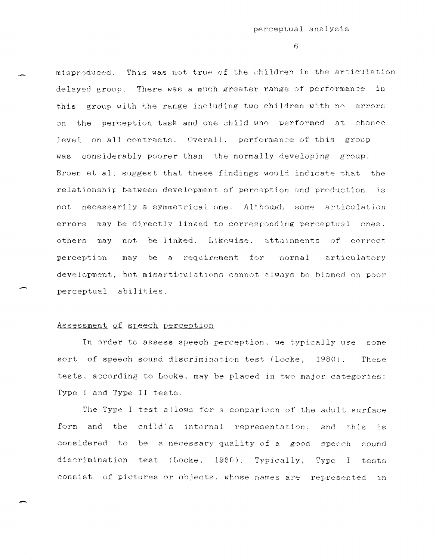$6 -$ 

misproduced. This was not true of the children in the articulation delayed group. There was a much greater range of performance in this group with the range including two children with no errors on the perception task and one child who performed at chance level on all contrasts. Overall, performance of this group was considerably poorer than the normally developing group. Broen et al. suggest that these findings would indicate that the relationship between development of perception and production is not necessarily a symmetrical one. Although some articulation errors may be directly linked to corresponding perceptual ones, not be linked. Likewise, attainments of correct others may perception may be a requirement for normal articulatory development, but misarticulations cannot always be blamed on poor perceptual abilities.

# Assessment of speech perception

In order to assess speech perception, we typically use some sort of speech sound discrimination test (Locke, 1980). These tests, according to Locke, may be placed in two major categories: Type I and Type II tests.

The Type I test allows for a comparison of the adult surface form and the child's internal representation, and this  $\pm$ s considered to be a necessary quality of a good speech sound discrimination test (Locke, 1980). Typically, Type I tests consist of pictures or objects, whose names are represented in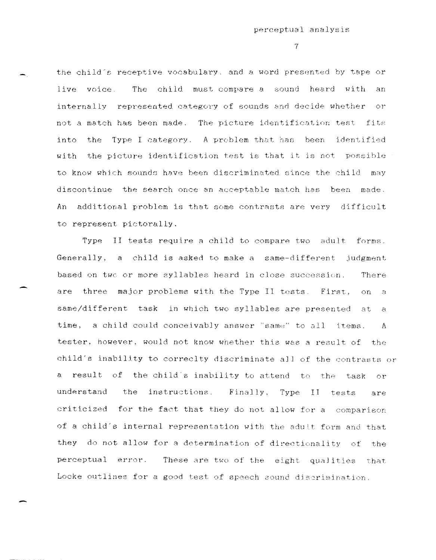$\overline{7}$ 

the child's receptive vocabulary, and a word presented by tape or The child must compare a sound heard with an live voice. internally represented category of sounds and decide whether or not a match has been made. The picture identification test fits into the Type I category. A problem that has been identified with the picture identification test is that it is not possible to know which sounds have been discriminated since the child may discontinue the search once an acceptable match has been made. An additional problem is that some contrasts are very difficult to represent pictorally.

Type II tests require a child to compare two adult forms. Generally, a child is asked to make a same-different judgment based on two or more syllables heard in close succession. There are three major problems with the Type II tests. First, on.  $\mathbb{R}$ same/different task in which two syllables are presented at  $\mathbb{H}$ time, a child could conceivably answer "same" to all items. A tester, however, would not know whether this was a result of the child's inability to correclty discriminate all of the contrasts or a result of the child's inability to attend to the task  $\alpha r$ understand the instructions. Finally, Type II tests are criticized for the fact that they do not allow for a comparison of a child's internal representation with the adult form and that they do not allow for a determination of directionality of the perceptual error. These are two of the eight qualities that Locke outlines for a good test of speech sound discrimination.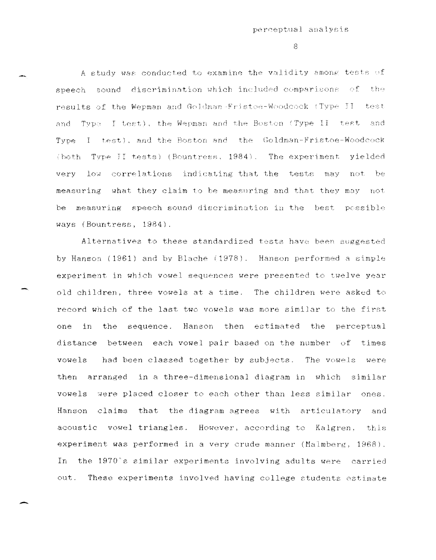A study was conducted to examine the validity among tests of speech sound discrimination which included comparisons of the results of the Wepman and Goldman-Fristoe-Woodcock (Type II test and Type I test), the Wepman and the Boston (Type II test and Type I test), and the Boston and the Goldman-Fristoe-Woodcock (both Type II tests) (Bountress, 1984). The experiment yielded very low correlations indicating that the tests may not be measuring  $\,$  what they claim to be measuring and that they may  $\,$  not measuring speech sound discrimination in the best he possible ways (Bountress, 1984).

Alternatives to these standardized tests have been suggested by Hanson (1961) and by Slache (1978). Hanson performed a simple experiment in which vowel sequences were presented to twelve year old children, three vowels at a time. The children were asked to record which of the last two vowels was more similar to the first one in the sequence. Hanson then ectlmated the perceptual distance between each vowel pair based on the number of times vowels had been classed together by subjects. The vowels were then arranged in a three-dimensional diagram in which similar vowels were placed closer to each other than less similar ones. Hanson claims that the diagram agrees with articulatory and acoustic vowel triangles. However, according to Kalgren, this experiment was performed in a very crude manner (Malmberg, 1968). In the 1970's similar experiments involving adults were carried out. These experiments involved having college students estimate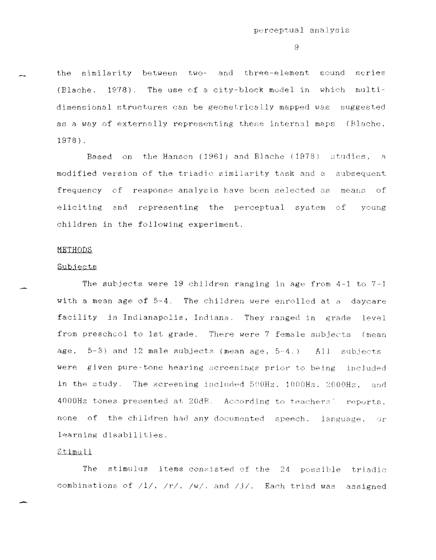the similarity between two- and three-element sound series (Blache, 1978). The use of a city-block model in which multidimensional structures can be geometrically mapped was suggested as a way of externally representing these internal maps (Blache,  $1978$ .

Based on the Hanson (1961) and Blache (1978) studies, a modified version of the triadic similarity task and a subsequent frequency of response analysis have been selected as means of eliciting and representing the perceptual system of voung children in the following experiment.

#### METHODS

#### Subjects

The subjects were 19 children ranging in age from  $4-1$  to  $7-1$ with a mean age of 5-4. The children were enrolled at a daycare facility in Indianapolis, Indiana. They ranged in grade level from prescheol to 1st grade. There were 7 female subjects (mean age,  $5-3$ ) and 12 male subjects (mean age,  $5-4$ .) All subjects were given pure-tone hearing screenings prior to being included in the study. The screening included 500Hz, 1000Hz, 2000Hz, and 4000Hz tones presented at 20dB. According to teachers' reports, none of the children had any documented speech, language, or learning disabilities.

## Stimuli

The stimulus items consisted of the 24 possible triadic combinations of  $/1/$ ,  $/r/$ ,  $/w/$ , and  $/j/$ . Each triad was assigned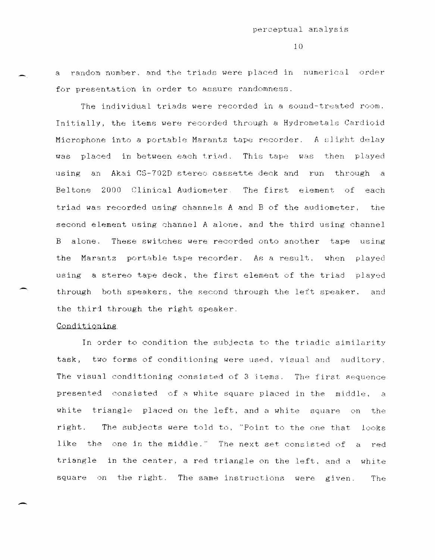a random number, and the triads were placed in numerical order for presentation in order to assure randomness.

The individual triads were recorded in a sound-treated room. Initially, the items were recorded through a Hydrometals Cardioid Microphone into a portable Marantz tape recorder. A slight delay was placed in between each triad. This tape was then played using an Akai CS-702D stereo cassette deck and run through a Beltone 2000 Clinical Audiometer. The first element of each triad was recorded using channels A and B of the audiometer, the second element using channel A alone. and the third using channel B alone. These switches were recorded onto another tape using the Marantz portable tape recorder. **A.E a reS1J It 1** when played using a stereo tape deck. the first element of the triad played through both speakers. the second through the left speaker. and the third through the right speaker.

## Conditioning

-

In order to condition the subjects to the triadic similarity task, two forms of conditioning were used, visual and auditory. The visual conditioning consisted of 3 items. The first sequence presented consisted of a white square placed in the middle, a white triangle placed on the left, and a white square on the right. The subjects were told to, "Point to the one that looks like the one in the middle." The next set consisted of a red triangle in the center, a red triangle on the left. and a white square on the right. The same instructions were given. The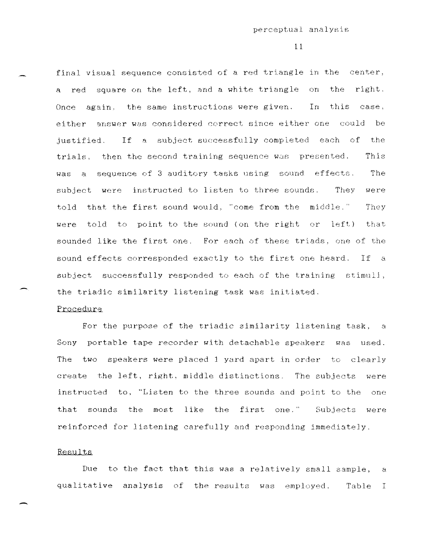final visual sequence consisted of a red triangle in the center, a red square on the left, and a white triangle on the right. Once again, the same instructions were given. In this case, either answer was considered correct since either one could be justified. If a subject successfully completed each of the trials, then the second training sequence was presented. This was a sequence of 3 auditory tasks using sound effects. The subject were instructed to listen to three sounds. They were told that the first sound would, "come from the middle." They were told to point to the sound (on the right or left) that sounded like the first one. For each of these triads, one of the sound effects corresponded exactly to the first one heard. If a subject successfully responded to each of the training stimuli, the triadic similarity listening task was initiated.

# Procedure

For the purpose of the triadic similarity listening task, a Sony portable tape recorder with detachable speakers was used. The two speakers were placed 1 yard apart in order to clearly create the left, right, middle distinctions. The subjects were instructed to, "Listen to the three sounds and point to the one that sounds the most like the first one." Subjects were reinforced for listening carefully and responding immediately.

### Results

Due to the fact that this was a relatively small sample, a qualitative analysis of the results was employed. Table I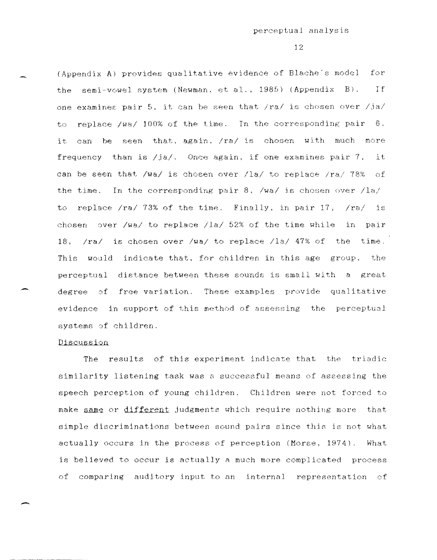(Appendix Al provides qualitative evidence of Blache"s model for the semi-vowel system (Newman, et al.,  $1985$ ) (Appendix B). If one examines pair 5, it can be seen that  $/ra/$  is chosen over  $/ja/$ to replace /wa/ 100% of the time. In the corresponding pair 6. it can be seen that, again, /ra/ is chosen with much more frequency than is  $/ja/$ . Once again, if one examines pair 7, can be seen that  $/wa/$  is chosen over  $/la/$  to replace  $/ra/ 78%$ it  $\circ$   $\circ$   $\mathbf{f}$  . the time. In the corresponding pair 8. *Iwal* js chosen over */IB/*  to replace /ra/ 73% of the time. Finally, in pair 17, /ra/ is chosen over /wa/ to replace /la/ 52% of the time while in pair 18, /ral is chosen over *Iwa/* to replace Ila/ 47% of the time. This would indicate that. for children in this age group, the perceptual distance between these sounds is small with a great degree of free variation. These examples provide qualitative evidence in support of this method of assessing the perceptual systems of children.

### Discussion

-

The results of this experiment indicate that the triadic similarity listening task was a successful means of assessing the speech perception of young children. Children were not forced to make same or different judgments which require nothing more that simple discriminations between sound pairs since this is not what actually occurs in the process of perception (Morse, 1974). What is believed to occur is actually a much more complicated process of comparing auditory input to an internal representation of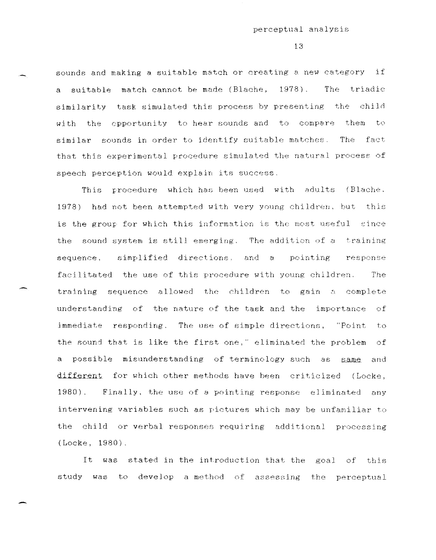sounds and making a suitable match or creating a new category if a suitable match cannot be made (Blache, 1978). The triadic similarity task simulated this process by presenting the child with the opportunity to hear sounds and to compare them to similar sounds in order to identify suitable matches. The fact that this experimental procedure simulated the natural process of speech perception would explain its success.

This procedure which has been used with adults (Blache. 1978) had not been attempted with very young children, but this is the group for which this information is the most useful since the sound system is still emerging. The addition of a training sequence, simplified directions, and a pointing response facilitated the use of this procedure with young children. The training sequence allowed the children to gain a complete understanding of the nature of the task and the importance of immediate responding. The use of simple directions. "Point to the sound that is like the first one," eliminated the problem of a possible misunderstanding of terminology such as same and different for which other methods have been criticized (Locke, 1980). Finally, the use of a pointing response eliminated any intervening variables such as pictures which may be unfamiliar to the child or verbal responses requiring additional processing  $(Locke, 1980)$ .

It was stated in the introduction that the goal of this study was to develop a method of assessing the perceptual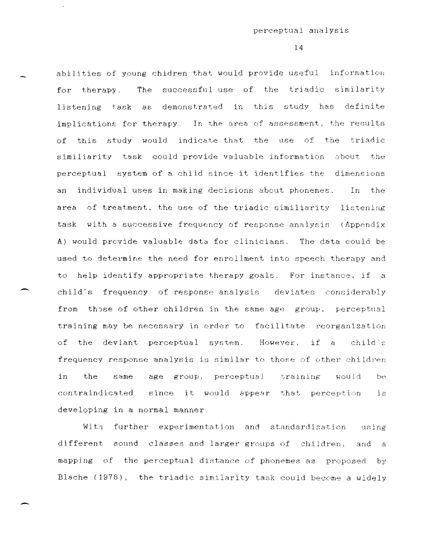abilities of young chidren that would provide useful information for therapy. The successful use of the triadic similarity listening task as demonstrated in this study has definite implications for therapy. In the area of assessment, the results of this study would indicate that the use of the triadic similiarity task could provide valuable information sbout the perceptual system of a child since it identifies the dimensions an individual uses in making decisions about phonemes. In the area of treatment. the use of the triadic similiarity listening task with a successive frequency of response analysis (Appendix A) would provide valuable data for clinicians. The data could be used to determine the need for enrollment into speech therapy and to help identify appropriate therapy goals. For instance. if a child"s frequency of response analysis deviates considerably from those of other children in the same age group. perceptual training may be necessary in order to facilitate reorganization of the deviant perceptual system. However, if a child's frequency response analysis is similar to those of other children in the same age group, perceptual training would  $b^{\alpha}$ contraindicated since it would appear that perception **1S**  developing in a normal manner.

With further experimentation and standardization using different sound classes and larger groups of children, and a mapping of the perceptual distance of phonemes as proposed by Blache (1978), the triadic similarity task could become a wldely

---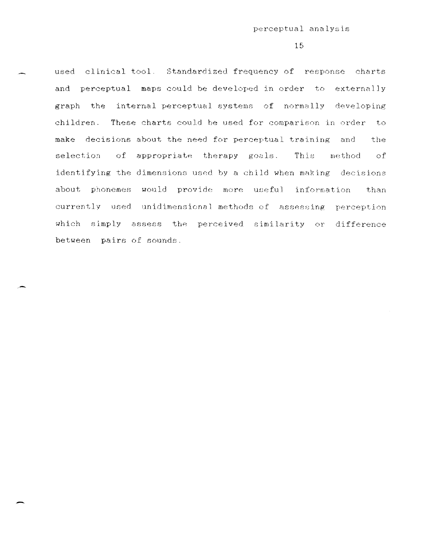used clinical tool. Standardized frequency of response charts and perceptual maps could be developed in order to externally graph the internal perceptual systems of normally developing children. These charts could he used for comparison in order to make decisions about the need for perceptual training and the selection of appropriate therapy goals. This method of identifying the dimensions used by a child when making decisions about phonemes would provide more useful information than currently used unidimensional methods of assessing perception which simply assess the perceived similarity or difference between pairs of sounds.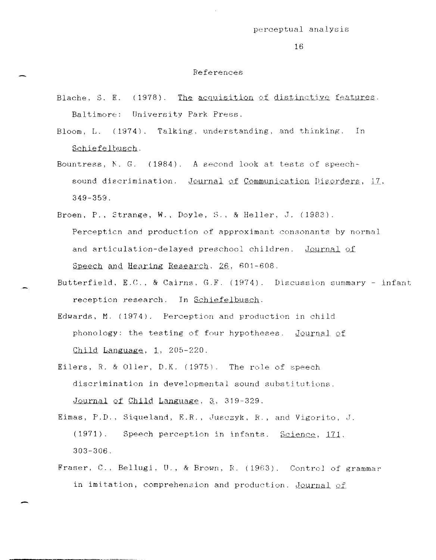#### References

- Blache, S. E. (1978). The acquisition of distinctive features. Baltimore: University Park Press.
- Bloom, L. (1974). Talking. understanding, and thinking. In Schiefelbusch.
- Bountress,  $N. G.$  (1984). A second look at tests of speechsound discrimination. Journal of Communication Disorders, 17, 349-359.
- Broen, P., Strange, W., Doyle, S., & Heller. J. (1983). Perceptien and production of approximant consonants by normal and articulation-delayed preschool children. Journal of Speech and Hearing Research, 26, 601-608.
- Butterfield, E.C., & Cairns, G.F. (1974). Dlscussion summary infant reception research. In Schiefelbusch.
	- Edwards, M. (1974). Perception and production in child phonology: the testing of four hypotheses. Journal of Child Language,  $1, 205-220$ .
	- Eilers, R. & Oller, D.K. (1975). The role of speech discrimination in developmental sound substitutions. Journal of Child Language, 3, 319-329.
	- Eimas, P.D., Siqueland, E.R., Jusczyk, R., and Vigorito. J. (1971). Speech perception in infants. Science, 171. 303-306.
	- Fraser, C., Bellugi, U., & Brown, R. (1983). Control of grammar in imitation, comprehension and production. Journal of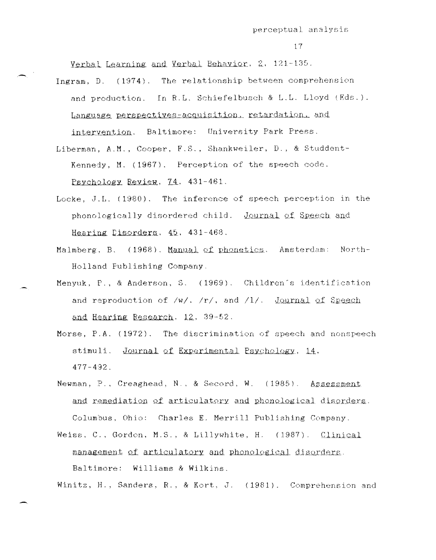Verbal Learning and Verbal Behavior, 2, 121-135.

- Ingram, D. (1974). The relationship between comprehension and production. In R.L. Schiefelbusch & L.L. Lloyd (Eds.). Language perspectives-acquisition, retardation, and intervention. Baltimore: University Park Press.
- Liberman, A.M., Cooper, F.S., Shankweiler, D., & Studdent-Kennedy, M. (1967). Perception of the speech code. Psychology Review, 74, 431-461.
- Locke, J.L. (1980). The inference of speech perception in the phonologically disordered child. Journal of Speech and Hearing Disorders, 45, 431-468.
- Malmberg, B. (1968). Manual of phonetics. Amsterdam: North-Holland Fublishing Company.
- Menyuk, P., & Anderson, S. (1969). Children's identification and reproduction of  $/w/$ ,  $/r/$ , and  $/1/$ . Journal of Speech and Hearing Research, 12, 39-52.
	- Morse, P.A. (1972). The discrimination of speech and nonspeech stimuli. Journal of Experimental Psychology, 14,  $477 - 492$ .
	- Newman, P., Creaghead, N., & Secord, W. (1985). Assessment and remediation of articulatory and phonological disorders. Columbus, Ohio: Charles E. Merrill Publishing Company.
	- Weiss, C., Gordon, M.S., & Lillywhite, H. (1987). Clinical management of articulatory and phonological disorders. Baltimore: Williams & Wilkins.

Winitz, H., Sanders, R., & Kort, J. (1981). Comprehension and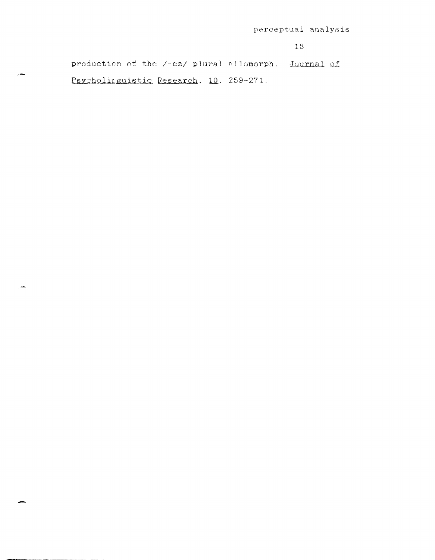production of the /-ez/ plural allomorph. Journal of Psycholinguistic Research, 10, 259-271.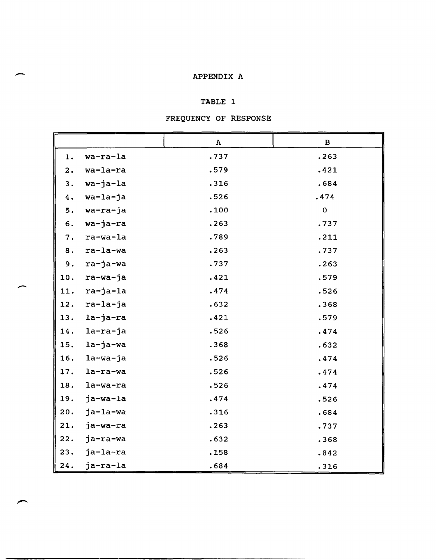# end a supervolted a supervolted and the set of the set of the set of the set of the set of the set of the set of the set of the set of the set of the set of the set of the set of the set of the set of the set of the set of

# TABLE 1

# FREQUENCY OF RESPONSE

|     |             | $\mathbf A$ | $\, {\bf B}$ |
|-----|-------------|-------------|--------------|
| 1.  | wa-ra-la    | .737        | .263         |
| 2.  | wa-la-ra    | .579        | .421         |
| 3.  | wa-ja-la    | .316        | .684         |
| 4.  | wa-la-ja    | .526        | .474         |
| 5.  | wa-ra-ja    | .100        | $\mathbf 0$  |
| 6.  | wa-ja-ra    | .263        | .737         |
| 7.  | ra-wa-la    | .789        | .211         |
| 8.  | ra-la-wa    | .263        | .737         |
| 9.  | ra-ja-wa    | .737        | .263         |
| 10. | ra-wa-ja    | .421        | .579         |
| 11. | ra-ja-la    | .474        | .526         |
| 12. | ra-la-ja    | .632        | .368         |
| 13. | la-ja-ra    | .421        | .579         |
| 14. | la-ra-ja    | .526        | .474         |
| 15. | $l$ a-ja-wa | .368        | .632         |
| 16. | $l$ a-wa-ja | .526        | .474         |
| 17. | la-ra-wa    | .526        | .474         |
| 18. | la-wa-ra    | .526        | .474         |
| 19. | ja-wa-la    | .474        | .526         |
| 20. | ja-la-wa    | .316        | .684         |
| 21. | ja-wa-ra    | .263        | .737         |
| 22. | ja-ra-wa    | .632        | .368         |
| 23. | ja-la-ra    | .158        | .842         |
| 24. | ja-ra-la    | .684        | .316         |